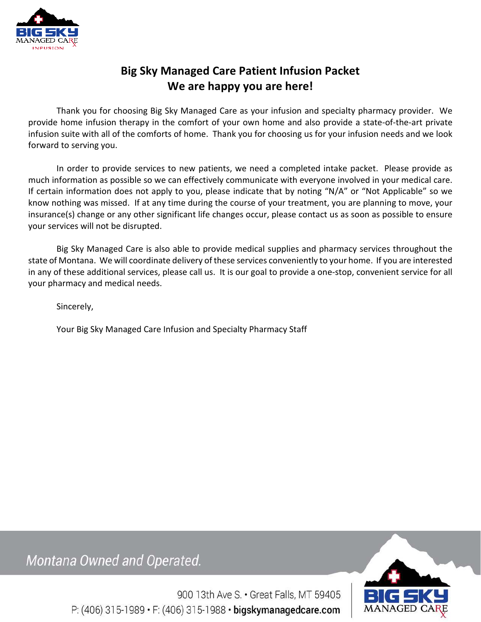

# **Big Sky Managed Care Patient Infusion Packet We are happy you are here!**

Thank you for choosing Big Sky Managed Care as your infusion and specialty pharmacy provider. We provide home infusion therapy in the comfort of your own home and also provide a state-of-the-art private infusion suite with all of the comforts of home. Thank you for choosing us for your infusion needs and we look forward to serving you.

In order to provide services to new patients, we need a completed intake packet. Please provide as much information as possible so we can effectively communicate with everyone involved in your medical care. If certain information does not apply to you, please indicate that by noting "N/A" or "Not Applicable" so we know nothing was missed. If at any time during the course of your treatment, you are planning to move, your insurance(s) change or any other significant life changes occur, please contact us as soon as possible to ensure your services will not be disrupted.

Big Sky Managed Care is also able to provide medical supplies and pharmacy services throughout the state of Montana. We will coordinate delivery of these services conveniently to your home. If you are interested in any of these additional services, please call us. It is our goal to provide a one-stop, convenient service for all your pharmacy and medical needs.

Sincerely,

Your Big Sky Managed Care Infusion and Specialty Pharmacy Staff

Montana Owned and Operated.



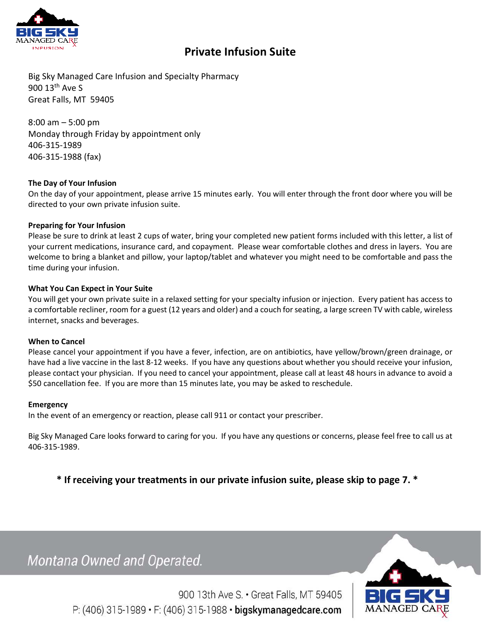

# **Private Infusion Suite**

Big Sky Managed Care Infusion and Specialty Pharmacy 900 13th Ave S Great Falls, MT 59405

8:00 am – 5:00 pm Monday through Friday by appointment only 406-315-1989 406-315-1988 (fax)

### **The Day of Your Infusion**

On the day of your appointment, please arrive 15 minutes early. You will enter through the front door where you will be directed to your own private infusion suite.

### **Preparing for Your Infusion**

Please be sure to drink at least 2 cups of water, bring your completed new patient forms included with this letter, a list of your current medications, insurance card, and copayment. Please wear comfortable clothes and dress in layers. You are welcome to bring a blanket and pillow, your laptop/tablet and whatever you might need to be comfortable and pass the time during your infusion.

### **What You Can Expect in Your Suite**

You will get your own private suite in a relaxed setting for your specialty infusion or injection. Every patient has access to a comfortable recliner, room for a guest (12 years and older) and a couch for seating, a large screen TV with cable, wireless internet, snacks and beverages.

### **When to Cancel**

Please cancel your appointment if you have a fever, infection, are on antibiotics, have yellow/brown/green drainage, or have had a live vaccine in the last 8-12 weeks. If you have any questions about whether you should receive your infusion, please contact your physician. If you need to cancel your appointment, please call at least 48 hours in advance to avoid a \$50 cancellation fee. If you are more than 15 minutes late, you may be asked to reschedule.

#### **Emergency**

In the event of an emergency or reaction, please call 911 or contact your prescriber.

Big Sky Managed Care looks forward to caring for you. If you have any questions or concerns, please feel free to call us at 406-315-1989.

**\* If receiving your treatments in our private infusion suite, please skip to page 7. \*** 

Montana Owned and Operated.

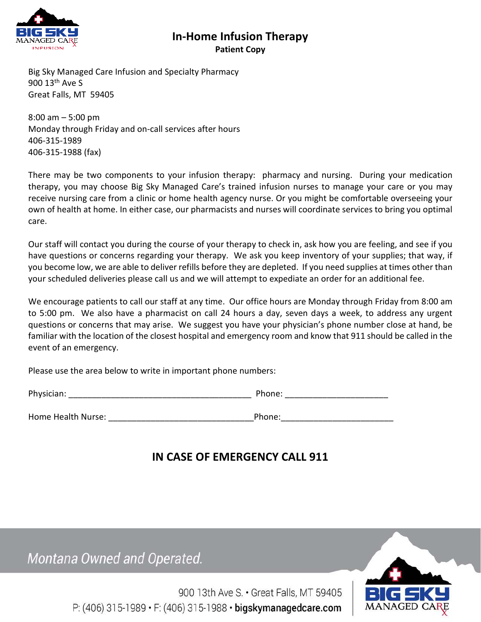

## **In-Home Infusion Therapy Patient Copy**

Big Sky Managed Care Infusion and Specialty Pharmacy 900 13th Ave S Great Falls, MT 59405

8:00 am – 5:00 pm Monday through Friday and on-call services after hours 406-315-1989 406-315-1988 (fax)

There may be two components to your infusion therapy: pharmacy and nursing. During your medication therapy, you may choose Big Sky Managed Care's trained infusion nurses to manage your care or you may receive nursing care from a clinic or home health agency nurse. Or you might be comfortable overseeing your own of health at home. In either case, our pharmacists and nurses will coordinate services to bring you optimal care.

Our staff will contact you during the course of your therapy to check in, ask how you are feeling, and see if you have questions or concerns regarding your therapy. We ask you keep inventory of your supplies; that way, if you become low, we are able to deliver refills before they are depleted. If you need supplies at times other than your scheduled deliveries please call us and we will attempt to expediate an order for an additional fee.

We encourage patients to call our staff at any time. Our office hours are Monday through Friday from 8:00 am to 5:00 pm. We also have a pharmacist on call 24 hours a day, seven days a week, to address any urgent questions or concerns that may arise. We suggest you have your physician's phone number close at hand, be familiar with the location of the closest hospital and emergency room and know that 911 should be called in the event of an emergency.

Please use the area below to write in important phone numbers:

| Phys<br>аг<br>10 L | $\overline{\phantom{a}}$ |
|--------------------|--------------------------|
|--------------------|--------------------------|

Home Health Nurse: \_\_\_\_\_\_\_\_\_\_\_\_\_\_\_\_\_\_\_\_\_\_\_\_\_\_\_\_\_\_\_Phone:\_\_\_\_\_\_\_\_\_\_\_\_\_\_\_\_\_\_\_\_\_\_\_\_

| hone: |  |  |
|-------|--|--|

# **IN CASE OF EMERGENCY CALL 911**

Montana Owned and Operated.

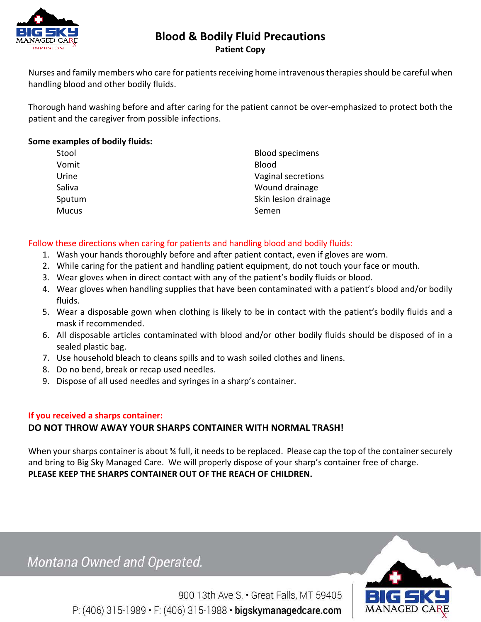

# **Blood & Bodily Fluid Precautions Patient Copy**

Nurses and family members who care for patients receiving home intravenous therapies should be careful when handling blood and other bodily fluids.

Thorough hand washing before and after caring for the patient cannot be over-emphasized to protect both the patient and the caregiver from possible infections.

## **Some examples of bodily fluids:**

| <b>Blood specimens</b> |
|------------------------|
| <b>Blood</b>           |
| Vaginal secretions     |
| Wound drainage         |
| Skin lesion drainage   |
| Semen                  |
|                        |

## Follow these directions when caring for patients and handling blood and bodily fluids:

- 1. Wash your hands thoroughly before and after patient contact, even if gloves are worn.
- 2. While caring for the patient and handling patient equipment, do not touch your face or mouth.
- 3. Wear gloves when in direct contact with any of the patient's bodily fluids or blood.
- 4. Wear gloves when handling supplies that have been contaminated with a patient's blood and/or bodily fluids.
- 5. Wear a disposable gown when clothing is likely to be in contact with the patient's bodily fluids and a mask if recommended.
- 6. All disposable articles contaminated with blood and/or other bodily fluids should be disposed of in a sealed plastic bag.
- 7. Use household bleach to cleans spills and to wash soiled clothes and linens.
- 8. Do no bend, break or recap used needles.
- 9. Dispose of all used needles and syringes in a sharp's container.

### **If you received a sharps container:**

## **DO NOT THROW AWAY YOUR SHARPS CONTAINER WITH NORMAL TRASH!**

When your sharps container is about ¾ full, it needs to be replaced. Please cap the top of the container securely and bring to Big Sky Managed Care. We will properly dispose of your sharp's container free of charge. **PLEASE KEEP THE SHARPS CONTAINER OUT OF THE REACH OF CHILDREN.** 

Montana Owned and Operated.



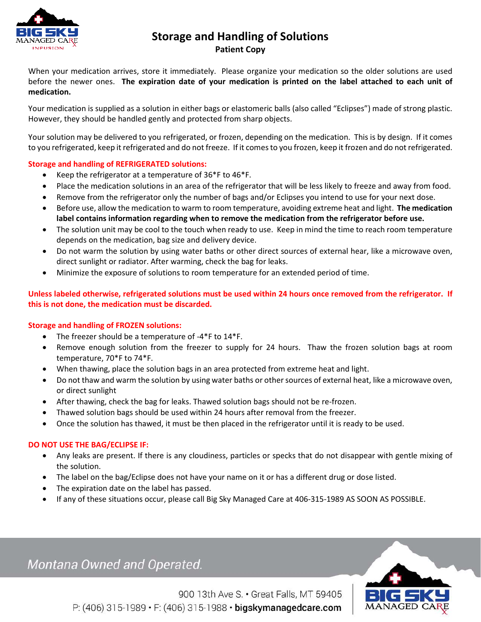

## **Storage and Handling of Solutions Patient Copy**

When your medication arrives, store it immediately. Please organize your medication so the older solutions are used before the newer ones. **The expiration date of your medication is printed on the label attached to each unit of medication.**

Your medication is supplied as a solution in either bags or elastomeric balls (also called "Eclipses") made of strong plastic. However, they should be handled gently and protected from sharp objects.

Your solution may be delivered to you refrigerated, or frozen, depending on the medication. This is by design. If it comes to you refrigerated, keep it refrigerated and do not freeze. If it comes to you frozen, keep it frozen and do not refrigerated.

### **Storage and handling of REFRIGERATED solutions:**

- Keep the refrigerator at a temperature of 36\*F to 46\*F.
- Place the medication solutions in an area of the refrigerator that will be less likely to freeze and away from food.
- Remove from the refrigerator only the number of bags and/or Eclipses you intend to use for your next dose.
- Before use, allow the medication to warm to room temperature, avoiding extreme heat and light. **The medication label contains information regarding when to remove the medication from the refrigerator before use.**
- The solution unit may be cool to the touch when ready to use. Keep in mind the time to reach room temperature depends on the medication, bag size and delivery device.
- Do not warm the solution by using water baths or other direct sources of external hear, like a microwave oven, direct sunlight or radiator. After warming, check the bag for leaks.
- Minimize the exposure of solutions to room temperature for an extended period of time.

### **Unless labeled otherwise, refrigerated solutions must be used within 24 hours once removed from the refrigerator. If this is not done, the medication must be discarded.**

### **Storage and handling of FROZEN solutions:**

- The freezer should be a temperature of -4\*F to 14\*F.
- Remove enough solution from the freezer to supply for 24 hours. Thaw the frozen solution bags at room temperature, 70\*F to 74\*F.
- When thawing, place the solution bags in an area protected from extreme heat and light.
- Do not thaw and warm the solution by using water baths or other sources of external heat, like a microwave oven, or direct sunlight
- After thawing, check the bag for leaks. Thawed solution bags should not be re-frozen.
- Thawed solution bags should be used within 24 hours after removal from the freezer.
- Once the solution has thawed, it must be then placed in the refrigerator until it is ready to be used.

### **DO NOT USE THE BAG/ECLIPSE IF:**

- Any leaks are present. If there is any cloudiness, particles or specks that do not disappear with gentle mixing of the solution.
- The label on the bag/Eclipse does not have your name on it or has a different drug or dose listed.
- The expiration date on the label has passed.
- If any of these situations occur, please call Big Sky Managed Care at 406-315-1989 AS SOON AS POSSIBLE.

# Montana Owned and Operated.

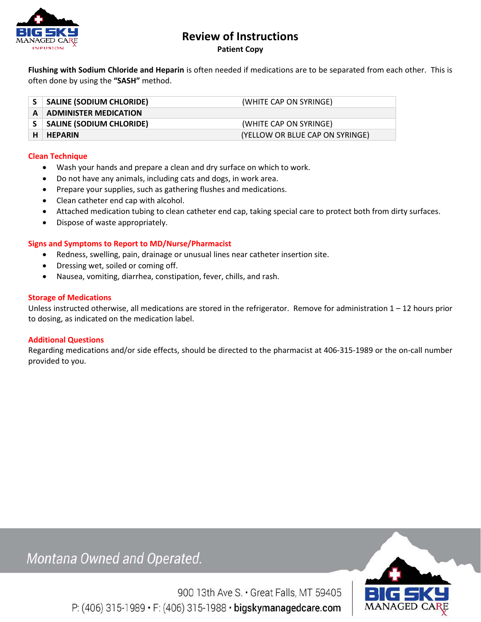

# **Review of Instructions**

**Patient Copy** 

**Flushing with Sodium Chloride and Heparin** is often needed if medications are to be separated from each other. This is often done by using the **"SASH"** method.

|   | <b>SALINE (SODIUM CHLORIDE)</b>   | (WHITE CAP ON SYRINGE)          |
|---|-----------------------------------|---------------------------------|
| A | $\parallel$ ADMINISTER MEDICATION |                                 |
|   | <b>SALINE (SODIUM CHLORIDE)</b>   | (WHITE CAP ON SYRINGE)          |
|   | <b>HEPARIN</b>                    | (YELLOW OR BLUE CAP ON SYRINGE) |

### **Clean Technique**

- Wash your hands and prepare a clean and dry surface on which to work.
- Do not have any animals, including cats and dogs, in work area.
- Prepare your supplies, such as gathering flushes and medications.
- Clean catheter end cap with alcohol.
- Attached medication tubing to clean catheter end cap, taking special care to protect both from dirty surfaces.
- Dispose of waste appropriately.

#### **Signs and Symptoms to Report to MD/Nurse/Pharmacist**

- Redness, swelling, pain, drainage or unusual lines near catheter insertion site.
- Dressing wet, soiled or coming off.
- Nausea, vomiting, diarrhea, constipation, fever, chills, and rash.

#### **Storage of Medications**

Unless instructed otherwise, all medications are stored in the refrigerator. Remove for administration  $1 - 12$  hours prior to dosing, as indicated on the medication label.

#### **Additional Questions**

Regarding medications and/or side effects, should be directed to the pharmacist at 406-315-1989 or the on-call number provided to you.

Montana Owned and Operated.

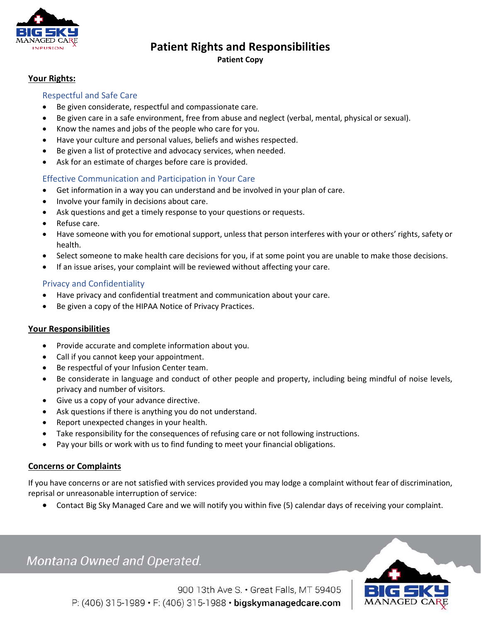

# **Patient Rights and Responsibilities**

### **Patient Copy**

### **Your Rights:**

### Respectful and Safe Care

- Be given considerate, respectful and compassionate care.
- Be given care in a safe environment, free from abuse and neglect (verbal, mental, physical or sexual).
- Know the names and jobs of the people who care for you.
- Have your culture and personal values, beliefs and wishes respected.
- Be given a list of protective and advocacy services, when needed.
- Ask for an estimate of charges before care is provided.

## Effective Communication and Participation in Your Care

- Get information in a way you can understand and be involved in your plan of care.
- Involve your family in decisions about care.
- Ask questions and get a timely response to your questions or requests.
- Refuse care.
- Have someone with you for emotional support, unless that person interferes with your or others' rights, safety or health.
- Select someone to make health care decisions for you, if at some point you are unable to make those decisions.
- If an issue arises, your complaint will be reviewed without affecting your care.

### Privacy and Confidentiality

- Have privacy and confidential treatment and communication about your care.
- Be given a copy of the HIPAA Notice of Privacy Practices.

### **Your Responsibilities**

- Provide accurate and complete information about you.
- Call if you cannot keep your appointment.
- Be respectful of your Infusion Center team.
- Be considerate in language and conduct of other people and property, including being mindful of noise levels, privacy and number of visitors.
- Give us a copy of your advance directive.
- Ask questions if there is anything you do not understand.
- Report unexpected changes in your health.
- Take responsibility for the consequences of refusing care or not following instructions.
- Pay your bills or work with us to find funding to meet your financial obligations.

### **Concerns or Complaints**

If you have concerns or are not satisfied with services provided you may lodge a complaint without fear of discrimination, reprisal or unreasonable interruption of service:

Contact Big Sky Managed Care and we will notify you within five (5) calendar days of receiving your complaint.

# Montana Owned and Operated.

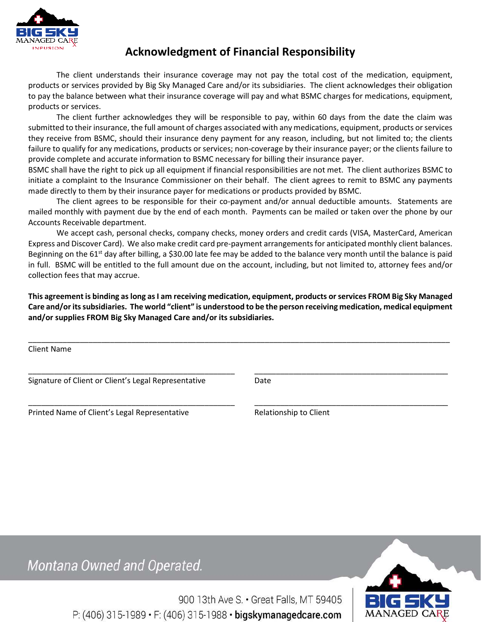

# **Acknowledgment of Financial Responsibility**

The client understands their insurance coverage may not pay the total cost of the medication, equipment, products or services provided by Big Sky Managed Care and/or its subsidiaries. The client acknowledges their obligation to pay the balance between what their insurance coverage will pay and what BSMC charges for medications, equipment, products or services.

The client further acknowledges they will be responsible to pay, within 60 days from the date the claim was submitted to their insurance, the full amount of charges associated with any medications, equipment, products or services they receive from BSMC, should their insurance deny payment for any reason, including, but not limited to; the clients failure to qualify for any medications, products or services; non-coverage by their insurance payer; or the clients failure to provide complete and accurate information to BSMC necessary for billing their insurance payer.

BSMC shall have the right to pick up all equipment if financial responsibilities are not met. The client authorizes BSMC to initiate a complaint to the Insurance Commissioner on their behalf. The client agrees to remit to BSMC any payments made directly to them by their insurance payer for medications or products provided by BSMC.

The client agrees to be responsible for their co-payment and/or annual deductible amounts. Statements are mailed monthly with payment due by the end of each month. Payments can be mailed or taken over the phone by our Accounts Receivable department.

We accept cash, personal checks, company checks, money orders and credit cards (VISA, MasterCard, American Express and Discover Card). We also make credit card pre-payment arrangements for anticipated monthly client balances. Beginning on the 61<sup>st</sup> day after billing, a \$30.00 late fee may be added to the balance very month until the balance is paid in full. BSMC will be entitled to the full amount due on the account, including, but not limited to, attorney fees and/or collection fees that may accrue.

**This agreement is binding as long as I am receiving medication, equipment, products or services FROM Big Sky Managed Care and/or its subsidiaries. The world "client" is understood to be the person receiving medication, medical equipment and/or supplies FROM Big Sky Managed Care and/or its subsidiaries.**

\_\_\_\_\_\_\_\_\_\_\_\_\_\_\_\_\_\_\_\_\_\_\_\_\_\_\_\_\_\_\_\_\_\_\_\_\_\_\_\_\_\_\_\_\_\_\_\_ \_\_\_\_\_\_\_\_\_\_\_\_\_\_\_\_\_\_\_\_\_\_\_\_\_\_\_\_\_\_\_\_\_\_\_\_\_\_\_\_\_\_\_\_\_

\_\_\_\_\_\_\_\_\_\_\_\_\_\_\_\_\_\_\_\_\_\_\_\_\_\_\_\_\_\_\_\_\_\_\_\_\_\_\_\_\_\_\_\_\_\_\_\_ \_\_\_\_\_\_\_\_\_\_\_\_\_\_\_\_\_\_\_\_\_\_\_\_\_\_\_\_\_\_\_\_\_\_\_\_\_\_\_\_\_\_\_\_\_

Client Name

Signature of Client or Client's Legal RepresentativeDate

Printed Name of Client's Legal Representative Relationship to Client

Montana Owned and Operated.

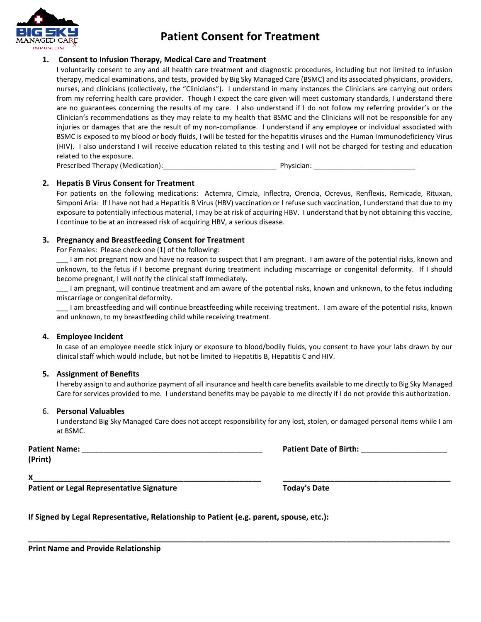

# **Patient Consent for Treatment**

### **1. Consent to Infusion Therapy, Medical Care and Treatment**

I voluntarily consent to any and all health care treatment and diagnostic procedures, including but not limited to infusion therapy, medical examinations, and tests, provided by Big Sky Managed Care (BSMC) and its associated physicians, providers, nurses, and clinicians (collectively, the "Clinicians"). I understand in many instances the Clinicians are carrying out orders from my referring health care provider. Though I expect the care given will meet customary standards, I understand there are no guarantees concerning the results of my care. I also understand if I do not follow my referring provider's or the Clinician's recommendations as they may relate to my health that BSMC and the Clinicians will not be responsible for any injuries or damages that are the result of my non-compliance. I understand if any employee or individual associated with BSMC is exposed to my blood or body fluids, I will be tested for the hepatitis viruses and the Human Immunodeficiency Virus (HIV). I also understand I will receive education related to this testing and I will not be charged for testing and education related to the exposure.

Prescribed Therapy (Medication): etc. and the physician: control physician:  $\blacksquare$ 

#### **2. Hepatis B Virus Consent for Treatment**

For patients on the following medications: Actemra, Cimzia, Inflectra, Orencia, Ocrevus, Renflexis, Remicade, Rituxan, Simponi Aria: If I have not had a Hepatitis B Virus (HBV) vaccination or I refuse such vaccination, I understand that due to my exposure to potentially infectious material, I may be at risk of acquiring HBV. I understand that by not obtaining this vaccine, I continue to be at an increased risk of acquiring HBV, a serious disease.

#### **3. Pregnancy and Breastfeeding Consent for Treatment**

For Females: Please check one (1) of the following:

\_\_\_ I am not pregnant now and have no reason to suspect that I am pregnant. I am aware of the potential risks, known and unknown, to the fetus if I become pregnant during treatment including miscarriage or congenital deformity. If I should become pregnant, I will notify the clinical staff immediately.

\_\_\_ I am pregnant, will continue treatment and am aware of the potential risks, known and unknown, to the fetus including miscarriage or congenital deformity.

\_\_\_ I am breastfeeding and will continue breastfeeding while receiving treatment. I am aware of the potential risks, known and unknown, to my breastfeeding child while receiving treatment.

#### **4. Employee Incident**

In case of an employee needle stick injury or exposure to blood/bodily fluids, you consent to have your labs drawn by our clinical staff which would include, but not be limited to Hepatitis B, Hepatitis C and HIV.

#### **5. Assignment of Benefits**

I hereby assign to and authorize payment of all insurance and health care benefits available to me directly to Big Sky Managed Care for services provided to me. I understand benefits may be payable to me directly if I do not provide this authorization.

#### 6. **Personal Valuables**

I understand Big Sky Managed Care does not accept responsibility for any lost, stolen, or damaged personal items while I am at BSMC.

**\_\_\_\_\_\_\_\_\_\_\_\_\_\_\_\_\_\_\_\_\_\_\_\_\_\_\_\_\_\_\_\_\_\_\_\_\_\_\_\_\_\_\_\_\_\_\_\_\_\_\_\_\_\_\_\_\_\_\_\_\_\_\_\_\_\_\_\_\_\_\_\_\_\_\_\_\_\_\_\_\_\_\_\_\_\_\_\_\_\_\_\_\_\_\_\_\_\_** 

**(Print)** 

**Patient Name:** \_\_\_\_\_\_\_\_\_\_\_\_\_\_\_\_\_\_\_\_\_\_\_\_\_\_\_\_\_\_\_\_\_\_\_\_\_\_\_\_\_\_ **Patient Date of Birth:** \_\_\_\_\_\_\_\_\_\_\_\_\_\_\_\_\_\_\_\_

**X\_\_\_\_\_\_\_\_\_\_\_\_\_\_\_\_\_\_\_\_\_\_\_\_\_\_\_\_\_\_\_\_\_\_\_\_\_\_\_\_\_\_\_\_\_\_\_\_\_\_\_\_\_ \_\_\_\_\_\_\_\_\_\_\_\_\_\_\_\_\_\_\_\_\_\_\_\_\_\_\_\_\_\_\_\_\_\_\_\_\_\_\_** 

**Patient or Legal Representative Signature** 

| <b>Foday's Date</b> |  |
|---------------------|--|
|---------------------|--|

**If Signed by Legal Representative, Relationship to Patient (e.g. parent, spouse, etc.):** 

**Print Name and Provide Relationship**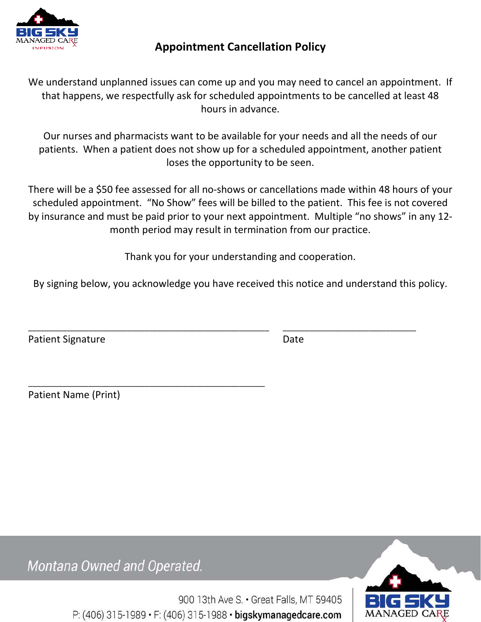

# **Appointment Cancellation Policy**

We understand unplanned issues can come up and you may need to cancel an appointment. If that happens, we respectfully ask for scheduled appointments to be cancelled at least 48 hours in advance.

Our nurses and pharmacists want to be available for your needs and all the needs of our patients. When a patient does not show up for a scheduled appointment, another patient loses the opportunity to be seen.

There will be a \$50 fee assessed for all no-shows or cancellations made within 48 hours of your scheduled appointment. "No Show" fees will be billed to the patient. This fee is not covered by insurance and must be paid prior to your next appointment. Multiple "no shows" in any 12 month period may result in termination from our practice.

Thank you for your understanding and cooperation.

By signing below, you acknowledge you have received this notice and understand this policy.

\_\_\_\_\_\_\_\_\_\_\_\_\_\_\_\_\_\_\_\_\_\_\_\_\_\_\_\_\_\_\_\_\_\_\_\_\_\_\_\_\_\_\_\_\_\_\_\_\_\_\_\_\_\_\_\_ \_\_\_\_\_\_\_\_\_\_\_\_\_\_\_\_\_\_\_\_\_\_\_\_\_\_\_\_\_\_\_

Patient Signature Date

Patient Name (Print)

Montana Owned and Operated.

\_\_\_\_\_\_\_\_\_\_\_\_\_\_\_\_\_\_\_\_\_\_\_\_\_\_\_\_\_\_\_\_\_\_\_\_\_\_\_\_\_\_\_\_\_\_\_\_\_\_\_\_\_\_\_

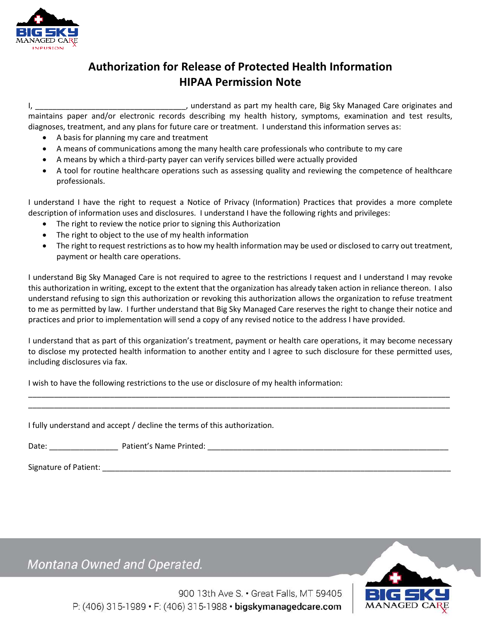

# **Authorization for Release of Protected Health Information HIPAA Permission Note**

I, \_\_\_\_\_\_\_\_\_\_\_\_\_\_\_\_\_\_\_\_\_\_\_\_\_\_\_\_\_\_\_\_\_\_\_, understand as part my health care, Big Sky Managed Care originates and maintains paper and/or electronic records describing my health history, symptoms, examination and test results, diagnoses, treatment, and any plans for future care or treatment. I understand this information serves as:

- A basis for planning my care and treatment
- A means of communications among the many health care professionals who contribute to my care
- A means by which a third-party payer can verify services billed were actually provided
- A tool for routine healthcare operations such as assessing quality and reviewing the competence of healthcare professionals.

I understand I have the right to request a Notice of Privacy (Information) Practices that provides a more complete description of information uses and disclosures. I understand I have the following rights and privileges:

- The right to review the notice prior to signing this Authorization
- The right to object to the use of my health information
- The right to request restrictions as to how my health information may be used or disclosed to carry out treatment, payment or health care operations.

I understand Big Sky Managed Care is not required to agree to the restrictions I request and I understand I may revoke this authorization in writing, except to the extent that the organization has already taken action in reliance thereon. I also understand refusing to sign this authorization or revoking this authorization allows the organization to refuse treatment to me as permitted by law. I further understand that Big Sky Managed Care reserves the right to change their notice and practices and prior to implementation will send a copy of any revised notice to the address I have provided.

I understand that as part of this organization's treatment, payment or health care operations, it may become necessary to disclose my protected health information to another entity and I agree to such disclosure for these permitted uses, including disclosures via fax.

\_\_\_\_\_\_\_\_\_\_\_\_\_\_\_\_\_\_\_\_\_\_\_\_\_\_\_\_\_\_\_\_\_\_\_\_\_\_\_\_\_\_\_\_\_\_\_\_\_\_\_\_\_\_\_\_\_\_\_\_\_\_\_\_\_\_\_\_\_\_\_\_\_\_\_\_\_\_\_\_\_\_\_\_\_\_\_\_\_\_\_\_\_\_\_\_\_\_ \_\_\_\_\_\_\_\_\_\_\_\_\_\_\_\_\_\_\_\_\_\_\_\_\_\_\_\_\_\_\_\_\_\_\_\_\_\_\_\_\_\_\_\_\_\_\_\_\_\_\_\_\_\_\_\_\_\_\_\_\_\_\_\_\_\_\_\_\_\_\_\_\_\_\_\_\_\_\_\_\_\_\_\_\_\_\_\_\_\_\_\_\_\_\_\_\_\_

I wish to have the following restrictions to the use or disclosure of my health information:

I fully understand and accept / decline the terms of this authorization.

Date: \_\_\_\_\_\_\_\_\_\_\_\_\_\_\_\_ Patient's Name Printed: \_\_\_\_\_\_\_\_\_\_\_\_\_\_\_\_\_\_\_\_\_\_\_\_\_\_\_\_\_\_\_\_\_\_\_\_\_\_\_\_\_\_\_\_\_\_\_\_\_\_\_\_\_\_\_\_

Signature of Patient: \_\_\_\_\_\_\_\_\_\_\_\_\_\_\_\_\_\_\_\_\_\_\_\_\_\_\_\_\_\_\_\_\_\_\_\_\_\_\_\_\_\_\_\_\_\_\_\_\_\_\_\_\_\_\_\_\_\_\_\_\_\_\_\_\_\_\_\_\_\_\_\_\_\_\_\_\_\_\_\_\_

Montana Owned and Operated.